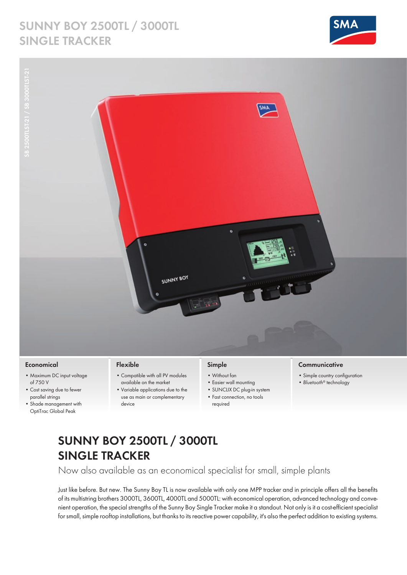## **Sunny boy 2500TL / 3000TL Single Tracker**





#### **Economical**

- • Maximum DC input voltage of 750 V
- • Cost saving due to fewer parallel strings
- • Shade management with OptiTrac Global Peak

#### **Flexible**

- • Compatible with all PV modules available on the market
- • Variable applications due to the use as main or complementary device

### **Simple**

- • Without fan
- • Easier wall mounting
- SUNCLIX DC plug-in system
- Fast connection, no tools
- required

### **Communicative**

- • Simple country configuration
- • *Bluetooth®* technology

# **Sunny Boy 2500TL / 3000TL Single Tracker**

Now also available as an economical specialist for small, simple plants

Just like before. But new. The Sunny Boy TL is now available with only one MPP tracker and in principle offers all the benefits of its multistring brothers 3000TL, 3600TL, 4000TL and 5000TL: with economical operation, advanced technology and convenient operation, the special strengths of the Sunny Boy Single Tracker make it a standout. Not only is it a cost-efficient specialist for small, simple rooftop installations, but thanks to its reactive power capability, it's also the perfect addition to existing systems.